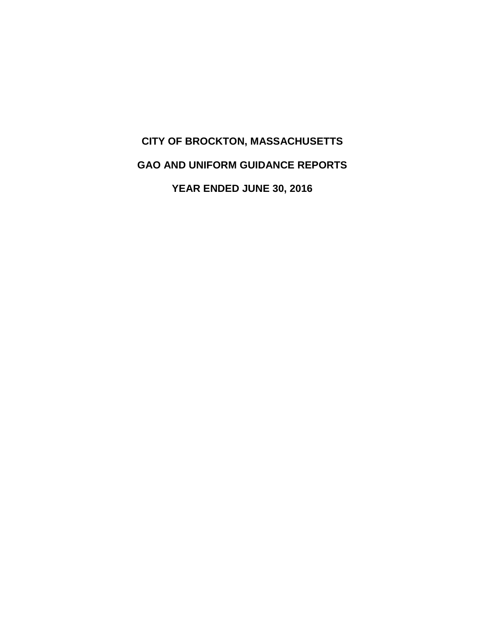# **CITY OF BROCKTON, MASSACHUSETTS GAO AND UNIFORM GUIDANCE REPORTS YEAR ENDED JUNE 30, 2016**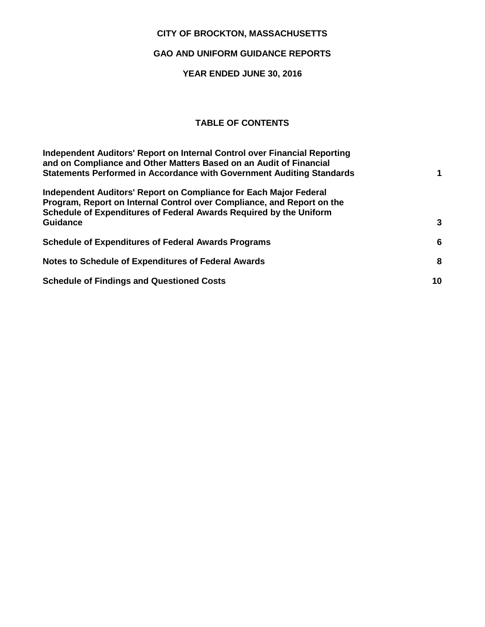## **CITY OF BROCKTON, MASSACHUSETTS**

## **GAO AND UNIFORM GUIDANCE REPORTS**

# **YEAR ENDED JUNE 30, 2016**

# **TABLE OF CONTENTS**

| Independent Auditors' Report on Internal Control over Financial Reporting<br>and on Compliance and Other Matters Based on an Audit of Financial<br><b>Statements Performed in Accordance with Government Auditing Standards</b>      |    |
|--------------------------------------------------------------------------------------------------------------------------------------------------------------------------------------------------------------------------------------|----|
| Independent Auditors' Report on Compliance for Each Major Federal<br>Program, Report on Internal Control over Compliance, and Report on the<br>Schedule of Expenditures of Federal Awards Required by the Uniform<br><b>Guidance</b> | 3  |
| <b>Schedule of Expenditures of Federal Awards Programs</b>                                                                                                                                                                           | 6  |
| Notes to Schedule of Expenditures of Federal Awards                                                                                                                                                                                  | 8  |
| <b>Schedule of Findings and Questioned Costs</b>                                                                                                                                                                                     | 10 |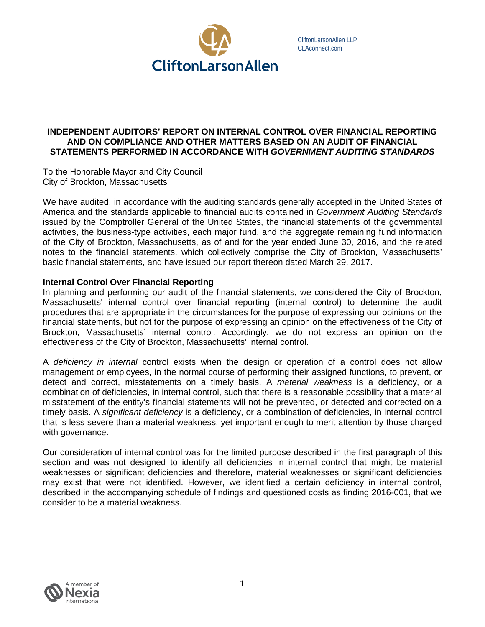

## <span id="page-3-0"></span>**INDEPENDENT AUDITORS' REPORT ON INTERNAL CONTROL OVER FINANCIAL REPORTING AND ON COMPLIANCE AND OTHER MATTERS BASED ON AN AUDIT OF FINANCIAL STATEMENTS PERFORMED IN ACCORDANCE WITH** *GOVERNMENT AUDITING STANDARDS*

To the Honorable Mayor and City Council City of Brockton, Massachusetts

We have audited, in accordance with the auditing standards generally accepted in the United States of America and the standards applicable to financial audits contained in *Government Auditing Standards* issued by the Comptroller General of the United States, the financial statements of the governmental activities, the business-type activities, each major fund, and the aggregate remaining fund information of the City of Brockton, Massachusetts, as of and for the year ended June 30, 2016, and the related notes to the financial statements, which collectively comprise the City of Brockton, Massachusetts' basic financial statements, and have issued our report thereon dated March 29, 2017.

## **Internal Control Over Financial Reporting**

In planning and performing our audit of the financial statements, we considered the City of Brockton, Massachusetts' internal control over financial reporting (internal control) to determine the audit procedures that are appropriate in the circumstances for the purpose of expressing our opinions on the financial statements, but not for the purpose of expressing an opinion on the effectiveness of the City of Brockton, Massachusetts' internal control. Accordingly, we do not express an opinion on the effectiveness of the City of Brockton, Massachusetts' internal control.

A *deficiency in internal* control exists when the design or operation of a control does not allow management or employees, in the normal course of performing their assigned functions, to prevent, or detect and correct, misstatements on a timely basis. A *material weakness* is a deficiency, or a combination of deficiencies, in internal control, such that there is a reasonable possibility that a material misstatement of the entity's financial statements will not be prevented, or detected and corrected on a timely basis. A *significant deficiency* is a deficiency, or a combination of deficiencies, in internal control that is less severe than a material weakness, yet important enough to merit attention by those charged with governance.

Our consideration of internal control was for the limited purpose described in the first paragraph of this section and was not designed to identify all deficiencies in internal control that might be material weaknesses or significant deficiencies and therefore, material weaknesses or significant deficiencies may exist that were not identified. However, we identified a certain deficiency in internal control, described in the accompanying schedule of findings and questioned costs as finding 2016-001, that we consider to be a material weakness.

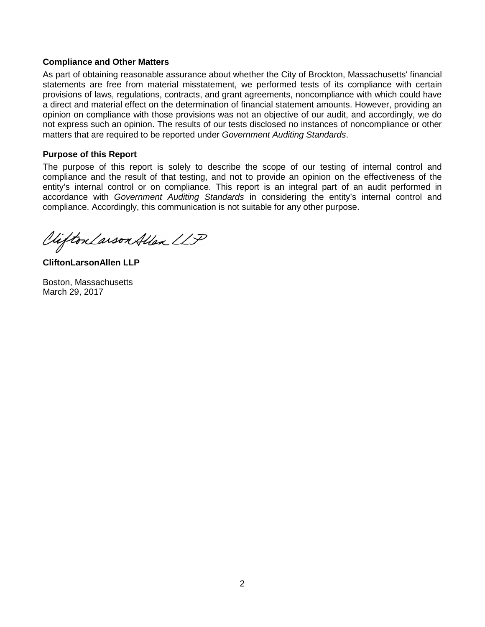### **Compliance and Other Matters**

As part of obtaining reasonable assurance about whether the City of Brockton, Massachusetts' financial statements are free from material misstatement, we performed tests of its compliance with certain provisions of laws, regulations, contracts, and grant agreements, noncompliance with which could have a direct and material effect on the determination of financial statement amounts. However, providing an opinion on compliance with those provisions was not an objective of our audit, and accordingly, we do not express such an opinion. The results of our tests disclosed no instances of noncompliance or other matters that are required to be reported under *Government Auditing Standards*.

## **Purpose of this Report**

The purpose of this report is solely to describe the scope of our testing of internal control and compliance and the result of that testing, and not to provide an opinion on the effectiveness of the entity's internal control or on compliance. This report is an integral part of an audit performed in accordance with *Government Auditing Standards* in considering the entity's internal control and compliance. Accordingly, this communication is not suitable for any other purpose.

Clifton Larson Allen LLP

**CliftonLarsonAllen LLP**

Boston, Massachusetts March 29, 2017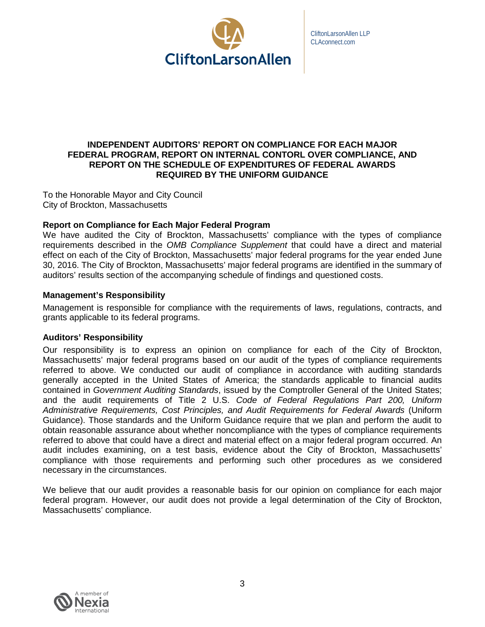

## <span id="page-5-0"></span>**INDEPENDENT AUDITORS' REPORT ON COMPLIANCE FOR EACH MAJOR FEDERAL PROGRAM, REPORT ON INTERNAL CONTORL OVER COMPLIANCE, AND REPORT ON THE SCHEDULE OF EXPENDITURES OF FEDERAL AWARDS REQUIRED BY THE UNIFORM GUIDANCE**

To the Honorable Mayor and City Council City of Brockton, Massachusetts

## **Report on Compliance for Each Major Federal Program**

We have audited the City of Brockton, Massachusetts' compliance with the types of compliance requirements described in the *OMB Compliance Supplement* that could have a direct and material effect on each of the City of Brockton, Massachusetts' major federal programs for the year ended June 30, 2016. The City of Brockton, Massachusetts' major federal programs are identified in the summary of auditors' results section of the accompanying schedule of findings and questioned costs.

## **Management's Responsibility**

Management is responsible for compliance with the requirements of laws, regulations, contracts, and grants applicable to its federal programs.

## **Auditors' Responsibility**

Our responsibility is to express an opinion on compliance for each of the City of Brockton, Massachusetts' major federal programs based on our audit of the types of compliance requirements referred to above. We conducted our audit of compliance in accordance with auditing standards generally accepted in the United States of America; the standards applicable to financial audits contained in *Government Auditing Standards*, issued by the Comptroller General of the United States; and the audit requirements of Title 2 U.S. *Code of Federal Regulations Part 200, Uniform Administrative Requirements, Cost Principles, and Audit Requirements for Federal Awards* (Uniform Guidance). Those standards and the Uniform Guidance require that we plan and perform the audit to obtain reasonable assurance about whether noncompliance with the types of compliance requirements referred to above that could have a direct and material effect on a major federal program occurred. An audit includes examining, on a test basis, evidence about the City of Brockton, Massachusetts' compliance with those requirements and performing such other procedures as we considered necessary in the circumstances.

We believe that our audit provides a reasonable basis for our opinion on compliance for each major federal program. However, our audit does not provide a legal determination of the City of Brockton, Massachusetts' compliance.

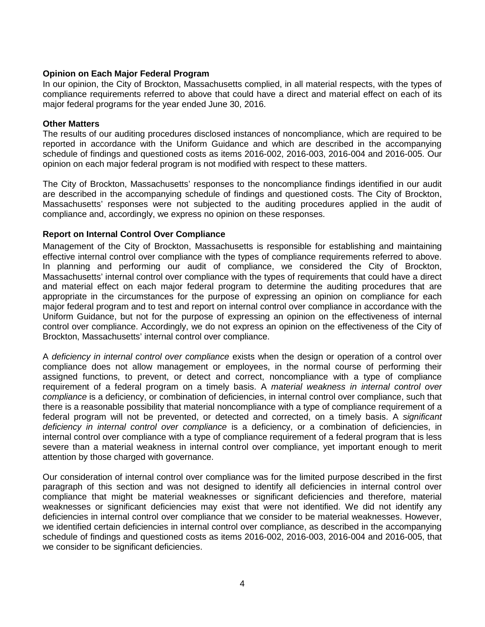## **Opinion on Each Major Federal Program**

In our opinion, the City of Brockton, Massachusetts complied, in all material respects, with the types of compliance requirements referred to above that could have a direct and material effect on each of its major federal programs for the year ended June 30, 2016.

#### **Other Matters**

The results of our auditing procedures disclosed instances of noncompliance, which are required to be reported in accordance with the Uniform Guidance and which are described in the accompanying schedule of findings and questioned costs as items 2016-002, 2016-003, 2016-004 and 2016-005. Our opinion on each major federal program is not modified with respect to these matters.

The City of Brockton, Massachusetts' responses to the noncompliance findings identified in our audit are described in the accompanying schedule of findings and questioned costs. The City of Brockton, Massachusetts' responses were not subjected to the auditing procedures applied in the audit of compliance and, accordingly, we express no opinion on these responses.

## **Report on Internal Control Over Compliance**

Management of the City of Brockton, Massachusetts is responsible for establishing and maintaining effective internal control over compliance with the types of compliance requirements referred to above. In planning and performing our audit of compliance, we considered the City of Brockton, Massachusetts' internal control over compliance with the types of requirements that could have a direct and material effect on each major federal program to determine the auditing procedures that are appropriate in the circumstances for the purpose of expressing an opinion on compliance for each major federal program and to test and report on internal control over compliance in accordance with the Uniform Guidance, but not for the purpose of expressing an opinion on the effectiveness of internal control over compliance. Accordingly, we do not express an opinion on the effectiveness of the City of Brockton, Massachusetts' internal control over compliance.

A *deficiency in internal control over compliance* exists when the design or operation of a control over compliance does not allow management or employees, in the normal course of performing their assigned functions, to prevent, or detect and correct, noncompliance with a type of compliance requirement of a federal program on a timely basis. A *material weakness in internal control over compliance* is a deficiency, or combination of deficiencies, in internal control over compliance, such that there is a reasonable possibility that material noncompliance with a type of compliance requirement of a federal program will not be prevented, or detected and corrected, on a timely basis. A *significant deficiency in internal control over compliance* is a deficiency, or a combination of deficiencies, in internal control over compliance with a type of compliance requirement of a federal program that is less severe than a material weakness in internal control over compliance, yet important enough to merit attention by those charged with governance.

Our consideration of internal control over compliance was for the limited purpose described in the first paragraph of this section and was not designed to identify all deficiencies in internal control over compliance that might be material weaknesses or significant deficiencies and therefore, material weaknesses or significant deficiencies may exist that were not identified. We did not identify any deficiencies in internal control over compliance that we consider to be material weaknesses. However, we identified certain deficiencies in internal control over compliance, as described in the accompanying schedule of findings and questioned costs as items 2016-002, 2016-003, 2016-004 and 2016-005, that we consider to be significant deficiencies.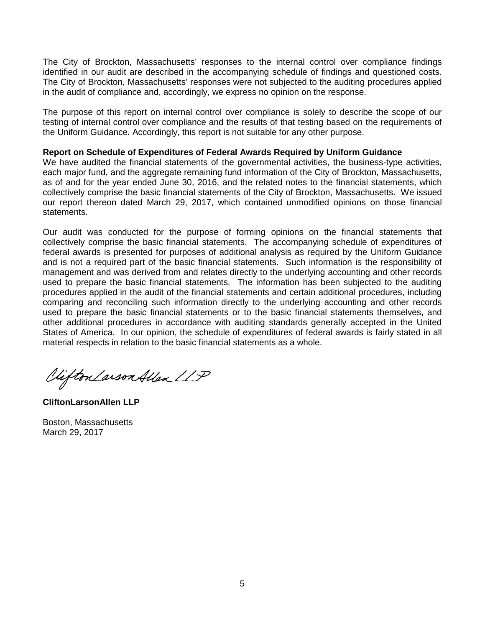The City of Brockton, Massachusetts' responses to the internal control over compliance findings identified in our audit are described in the accompanying schedule of findings and questioned costs. The City of Brockton, Massachusetts' responses were not subjected to the auditing procedures applied in the audit of compliance and, accordingly, we express no opinion on the response.

The purpose of this report on internal control over compliance is solely to describe the scope of our testing of internal control over compliance and the results of that testing based on the requirements of the Uniform Guidance. Accordingly, this report is not suitable for any other purpose.

#### **Report on Schedule of Expenditures of Federal Awards Required by Uniform Guidance**

We have audited the financial statements of the governmental activities, the business-type activities, each major fund, and the aggregate remaining fund information of the City of Brockton, Massachusetts, as of and for the year ended June 30, 2016, and the related notes to the financial statements, which collectively comprise the basic financial statements of the City of Brockton, Massachusetts. We issued our report thereon dated March 29, 2017, which contained unmodified opinions on those financial statements.

Our audit was conducted for the purpose of forming opinions on the financial statements that collectively comprise the basic financial statements. The accompanying schedule of expenditures of federal awards is presented for purposes of additional analysis as required by the Uniform Guidance and is not a required part of the basic financial statements. Such information is the responsibility of management and was derived from and relates directly to the underlying accounting and other records used to prepare the basic financial statements. The information has been subjected to the auditing procedures applied in the audit of the financial statements and certain additional procedures, including comparing and reconciling such information directly to the underlying accounting and other records used to prepare the basic financial statements or to the basic financial statements themselves, and other additional procedures in accordance with auditing standards generally accepted in the United States of America. In our opinion, the schedule of expenditures of federal awards is fairly stated in all material respects in relation to the basic financial statements as a whole.

Clifton Larson Allen LLP

**CliftonLarsonAllen LLP**

Boston, Massachusetts March 29, 2017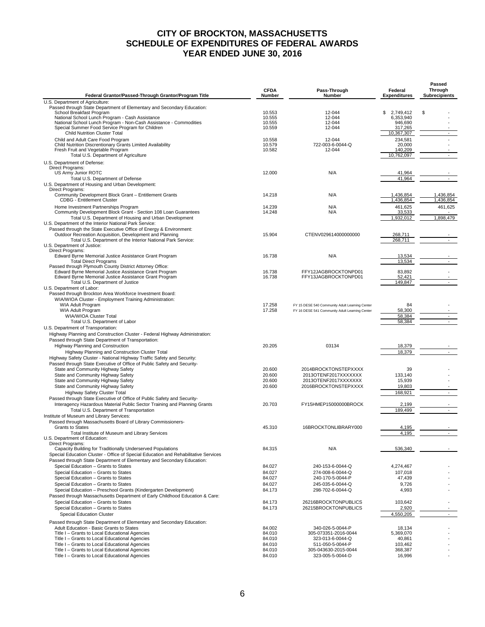## **CITY OF BROCKTON, MASSACHUSETTS SCHEDULE OF EXPENDITURES OF FEDERAL AWARDS YEAR ENDED JUNE 30, 2016**

<span id="page-8-0"></span>

|                                                                                                                                                    |                       |                                                |                                | Passed                          |
|----------------------------------------------------------------------------------------------------------------------------------------------------|-----------------------|------------------------------------------------|--------------------------------|---------------------------------|
| Federal Grantor/Passed-Through Grantor/Program Title                                                                                               | <b>CFDA</b><br>Number | Pass-Through<br><b>Number</b>                  | Federal<br><b>Expenditures</b> | Through<br><b>Subrecipients</b> |
|                                                                                                                                                    |                       |                                                |                                |                                 |
| U.S. Department of Agriculture:<br>Passed through State Department of Elementary and Secondary Education:                                          |                       |                                                |                                |                                 |
| School Breakfast Program                                                                                                                           | 10.553                | 12-044                                         | \$<br>2,749,412                | S                               |
| National School Lunch Program - Cash Assistance                                                                                                    | 10.555                | 12-044                                         | 6,353,940                      |                                 |
| National School Lunch Program - Non-Cash Assistance - Commodities                                                                                  | 10.555                | 12-044                                         | 946,690                        |                                 |
| Special Summer Food Service Program for Children<br><b>Child Nutrition Cluster Total</b>                                                           | 10.559                | 12-044                                         | 317,265<br>10.367.307          | $\sim$                          |
|                                                                                                                                                    |                       |                                                |                                |                                 |
| Child and Adult Care Food Program<br>Child Nutrition Discrentionary Grants Limited Availability                                                    | 10.558<br>10.579      | $12 - 044$<br>722-003-6-0044-Q                 | 234,581<br>20,000              |                                 |
| Fresh Fruit and Vegetable Program                                                                                                                  | 10.582                | 12-044                                         | 140,209                        |                                 |
| Total U.S. Department of Agriculture                                                                                                               |                       |                                                | 10,762,097                     |                                 |
| U.S. Department of Defense:                                                                                                                        |                       |                                                |                                |                                 |
| Direct Programs:                                                                                                                                   |                       |                                                |                                |                                 |
| US Army Junior ROTC                                                                                                                                | 12.000                | N/A                                            | 41,964                         |                                 |
| Total U.S. Department of Defense                                                                                                                   |                       |                                                | 41,964                         | $\mathcal{L}_{\mathcal{A}}$     |
| U.S. Department of Housing and Urban Development:                                                                                                  |                       |                                                |                                |                                 |
| <b>Direct Programs:</b>                                                                                                                            |                       |                                                |                                |                                 |
| Community Development Block Grant - Entitlement Grants<br><b>CDBG - Entitlement Cluster</b>                                                        | 14.218                | N/A                                            | 1.436.854<br>1,436,854         | 1,436,854<br>1,436,854          |
|                                                                                                                                                    |                       |                                                |                                |                                 |
| Home Investment Partnerships Program<br>Community Development Block Grant - Section 108 Loan Guarantees                                            | 14.239<br>14.248      | N/A<br>N/A                                     | 461,625<br>33,533              | 461,625                         |
| Total U.S. Department of Housing and Urban Development                                                                                             |                       |                                                | 1,932,012                      | 1,898,479                       |
| U.S. Department of the Interior National Park Service:                                                                                             |                       |                                                |                                |                                 |
| Passed through the State Executive Office of Energy & Environment:                                                                                 |                       |                                                |                                |                                 |
| Outdoor Recreation Acquisition, Development and Planning                                                                                           | 15.904                | CTENV029614000000000                           | 268,711                        |                                 |
| Total U.S. Department of the Interior National Park Service:                                                                                       |                       |                                                | 268,711                        | $\sim$                          |
| U.S. Department of Justice:                                                                                                                        |                       |                                                |                                |                                 |
| Direct Programs:                                                                                                                                   |                       |                                                |                                |                                 |
| Edward Byrne Memorial Justice Assistance Grant Program                                                                                             | 16.738                | N/A                                            | 13,534                         |                                 |
| <b>Total Direct Programs</b><br>Passed through Plymouth County District Attorney Office:                                                           |                       |                                                | 13,534                         | $\sim$                          |
| Edward Byrne Memorial Justice Assistance Grant Program                                                                                             | 16.738                | FFY12JAGBROCKTONPD01                           | 83,892                         |                                 |
| Edward Byrne Memorial Justice Assistance Grant Program                                                                                             | 16.738                | FFY13JAGBROCKTONPD01                           | 52,421                         |                                 |
| Total U.S. Department of Justice                                                                                                                   |                       |                                                | 149,847                        |                                 |
| U.S. Department of Labor:                                                                                                                          |                       |                                                |                                |                                 |
| Passed through Brockton Area Workforce Investment Board:                                                                                           |                       |                                                |                                |                                 |
| WIA/WIOA Cluster - Employment Training Administration:                                                                                             |                       |                                                |                                |                                 |
| WIA Adult Program                                                                                                                                  | 17.258                | FY 15 DESE 540 Community Adult Learning Center | 84                             |                                 |
| WIA Adult Program                                                                                                                                  | 17.258                | FY 16 DESE 541 Community Adult Learning Center | 58,300                         |                                 |
| WIA/WIOA Cluster Total                                                                                                                             |                       |                                                | 58,384                         | $\overline{\phantom{a}}$<br>÷.  |
| Total U.S. Department of Labor                                                                                                                     |                       |                                                | 58,384                         |                                 |
| U.S. Department of Transportation:                                                                                                                 |                       |                                                |                                |                                 |
| Highway Planning and Construction Cluster - Federal Highway Administration:                                                                        |                       |                                                |                                |                                 |
| Passed through State Department of Transportation:                                                                                                 |                       |                                                |                                |                                 |
| Highway Planning and Construction                                                                                                                  | 20.205                | 03134                                          | 18,379                         | $\mathcal{L}_{\mathcal{A}}$     |
| Highway Planning and Construction Cluster Total<br>Highway Safety Cluster - National Highway Traffic Safety and Security:                          |                       |                                                | 18,379                         |                                 |
| Passed through State Executive of Office of Public Safety and Security-                                                                            |                       |                                                |                                |                                 |
| State and Community Highway Safety                                                                                                                 | 20.600                | 2014BROCKTONSTEPXXXX                           | 39                             |                                 |
| State and Community Highway Safety                                                                                                                 | 20.600                | 2013OTENF2017XXXXXXX                           | 133,140                        |                                 |
| State and Community Highway Safety                                                                                                                 | 20.600                | 2013OTENF2017XXXXXXX                           | 15,939                         |                                 |
| State and Community Highway Safety                                                                                                                 | 20,600                | 2016BROCKTONSTEPXXXX                           | 19,803                         |                                 |
| Highway Safety Cluster Total                                                                                                                       |                       |                                                | 168,921                        |                                 |
| Passed through State Executive of Office of Public Safety and Security-                                                                            |                       |                                                |                                |                                 |
| Interagency Hazardous Material Public Sector Training and Planning Grants                                                                          | 20.703                | FY15HMEP15000000BROCK                          | 2,199                          |                                 |
| Total U.S. Department of Transportation                                                                                                            |                       |                                                | 189,499                        |                                 |
| Institute of Museum and Library Services:                                                                                                          |                       |                                                |                                |                                 |
| Passed through Massachusetts Board of Library Commissioners-                                                                                       |                       |                                                |                                |                                 |
| <b>Grants to States</b>                                                                                                                            | 45.310                | 16BROCKTONLIBRARY000                           | 4,195                          |                                 |
| Total Institute of Museum and Library Services                                                                                                     |                       |                                                | 4,195                          |                                 |
| U.S. Department of Education:                                                                                                                      |                       |                                                |                                |                                 |
| Direct Programs:                                                                                                                                   |                       | N/A                                            |                                |                                 |
| Capacity Building for Traditionally Underserved Populations<br>Special Education Cluster - Office of Special Education and Rehabilitative Services | 84.315                |                                                | 536,340                        |                                 |
| Passed through State Department of Elementary and Secondary Education:                                                                             |                       |                                                |                                |                                 |
| Special Education - Grants to States                                                                                                               | 84.027                | 240-153-6-0044-Q                               | 4,274,467                      |                                 |
| Special Education - Grants to States                                                                                                               | 84.027                | 274-008-6-0044-Q                               | 107,018                        |                                 |
| Special Education - Grants to States                                                                                                               | 84.027                | 240-170-5-0044-P                               | 47,439                         |                                 |
| Special Education - Grants to States                                                                                                               | 84.027                | 245-035-6-0044-Q                               | 9,726                          |                                 |
| Special Education - Preschool Grants (Kindergarten Development)                                                                                    | 84.173                | 298-702-6-0044-Q                               | 4,993                          |                                 |
| Passed through Massachusetts Department of Early Childhood Education & Care:                                                                       |                       |                                                |                                |                                 |
| Special Education - Grants to States                                                                                                               | 84.173                | 26216BROCKTONPUBLICS                           | 103,642                        |                                 |
| Special Education - Grants to States                                                                                                               | 84.173                | 26215BROCKTONPUBLICS                           | 2,920                          |                                 |
| <b>Special Education Cluster</b>                                                                                                                   |                       |                                                | 4,550,205                      | $\sim$                          |
|                                                                                                                                                    |                       |                                                |                                |                                 |
| Passed through State Department of Elementary and Secondary Education:                                                                             |                       |                                                |                                |                                 |
| Adult Education - Basic Grants to States                                                                                                           | 84.002                | 340-026-5-0044-P                               | 18,134                         |                                 |
| Title I - Grants to Local Educational Agencies<br>Title I - Grants to Local Educational Agencies                                                   | 84.010<br>84.010      | 305-073351-2016-0044<br>323-013-6-0044-Q       | 5,369,070<br>40,861            |                                 |
| Title I - Grants to Local Educational Agencies                                                                                                     | 84.010                | 511-050-5-0044-P                               | 103,462                        |                                 |
| Title I - Grants to Local Educational Agencies                                                                                                     | 84.010                | 305-043630-2015-0044                           | 368,387                        |                                 |
| Title I - Grants to Local Educational Agencies                                                                                                     | 84.010                | 323-005-5-0044-D                               | 16,996                         |                                 |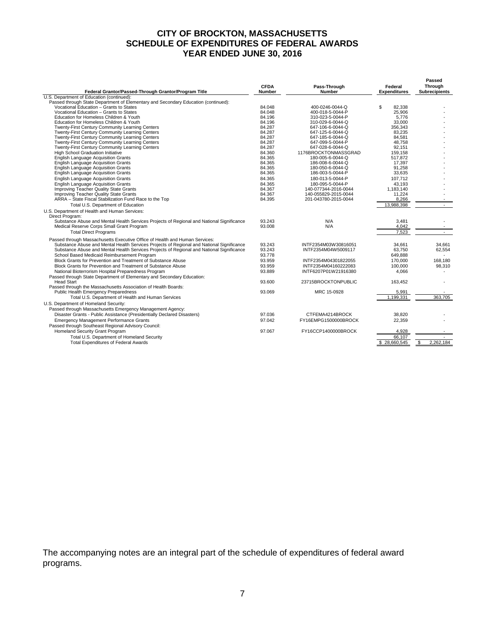## **CITY OF BROCKTON, MASSACHUSETTS SCHEDULE OF EXPENDITURES OF FEDERAL AWARDS YEAR ENDED JUNE 30, 2016**

| Federal Grantor/Passed-Through Grantor/Program Title                                      | <b>CFDA</b><br><b>Number</b> | Pass-Through<br><b>Number</b> | Federal<br><b>Expenditures</b> | Passed<br><b>Through</b><br><b>Subrecipients</b> |
|-------------------------------------------------------------------------------------------|------------------------------|-------------------------------|--------------------------------|--------------------------------------------------|
| U.S. Department of Education (continued):                                                 |                              |                               |                                |                                                  |
| Passed through State Department of Elementary and Secondary Education (continued):        |                              |                               |                                |                                                  |
| Vocational Education - Grants to States                                                   | 84.048                       | 400-0246-0044-Q               | \$<br>82.338                   |                                                  |
| Vocational Education - Grants to States                                                   | 84.048                       | 400-018-5-0044-P              | 25.906                         |                                                  |
| Education for Homeless Children & Youth                                                   | 84.196                       | 310-023-5-0044-P              | 5,776                          |                                                  |
| Education for Homeless Children & Youth                                                   | 84.196                       | 310-029-6-0044-Q              | 33.000                         |                                                  |
| Twenty-First Century Community Learning Centers                                           | 84.287                       | 647-106-6-0044-Q              | 356.343                        |                                                  |
| Twenty-First Century Community Learning Centers                                           | 84.287                       | 647-125-6-0044-Q              | 83.235                         |                                                  |
| Twenty-First Century Community Learning Centers                                           | 84.287                       | 647-185-6-0044-Q              | 84.581                         |                                                  |
| Twenty-First Century Community Learning Centers                                           | 84.287                       | 647-099-5-0044-P              | 48,758                         |                                                  |
| Twenty-First Century Community Learning Centers                                           | 84.287                       | 647-028-6-0044-Q              | 92.151                         |                                                  |
| High School Graduation Initiative                                                         | 84.360                       | 1176BROCKTONMASSGRAD          | 159.158                        |                                                  |
| <b>English Language Acquisition Grants</b>                                                | 84.365                       | 180-005-6-0044-Q              | 517,872                        |                                                  |
| <b>English Language Acquisition Grants</b>                                                | 84.365                       | 186-008-6-0044-Q              | 17.397                         |                                                  |
| <b>English Language Acquisition Grants</b>                                                | 84.365                       | 180-050-6-0044-Q              | 91,258                         |                                                  |
| <b>English Language Acquisition Grants</b>                                                | 84.365                       | 186-003-5-0044-P              | 33,635                         |                                                  |
| <b>English Language Acquisition Grants</b>                                                | 84.365                       | 180-013-5-0044-P              | 107,712                        |                                                  |
| <b>English Language Acquisition Grants</b>                                                | 84.365                       | 180-095-5-0044-P              | 43.193                         |                                                  |
| Improving Teacher Quality State Grants                                                    | 84.367                       | 140-077344-2016-0044          | 1.183.140                      |                                                  |
| Improving Teacher Quality State Grants                                                    | 84.367                       | 140-055829-2015-0044          | 11,224                         |                                                  |
| ARRA - State Fiscal Stabilization Fund Race to the Top                                    | 84.395                       | 201-043780-2015-0044          | 8,266                          |                                                  |
| Total U.S. Department of Education                                                        |                              |                               | 13,988,398                     |                                                  |
| U.S. Department of Health and Human Services:<br>Direct Program:                          |                              |                               |                                |                                                  |
| Substance Abuse and Mental Health Services Projects of Regional and National Significance | 93.243                       | N/A                           | 3,481                          |                                                  |
| Medical Reserve Corps Small Grant Program                                                 | 93.008                       | N/A                           | 4.042                          |                                                  |
| <b>Total Direct Programs</b>                                                              |                              |                               | 7,523                          |                                                  |
| Passed through Massachusetts Executive Office of Health and Human Services:               |                              |                               |                                |                                                  |
| Substance Abuse and Mental Health Services Projects of Regional and National Significance | 93.243                       | INTF2354M03W30816051          | 34.661                         | 34,661                                           |
| Substance Abuse and Mental Health Services Projects of Regional and National Significance | 93.243                       | INTF2354M04W5009117           | 63.750                         | 62,554                                           |
| School Based Medicaid Reimbursement Program                                               | 93.778                       |                               | 649.888                        |                                                  |
| Block Grants for Prevention and Treatment of Substance Abuse                              | 93.959                       | INTF2354M04301822055          | 170.000                        | 168.180                                          |
| Block Grants for Prevention and Treatment of Substance Abuse                              | 93.959                       | INTF2354M04160222083          | 100.000                        | 98,310                                           |
| National Bioterrorism Hospital Preparedness Program                                       | 93.889                       | INTF6207P01W21916380          | 4.066                          |                                                  |
| Passed through State Department of Elementary and Secondary Education:                    |                              |                               |                                |                                                  |
| <b>Head Start</b>                                                                         | 93.600                       | 23715BROCKTONPUBLIC           | 163,452                        |                                                  |
| Passed through the Massachusetts Association of Health Boards:                            |                              |                               |                                |                                                  |
| <b>Public Health Emergency Preparedness</b>                                               | 93.069                       | MRC 15-0928                   | 5,991                          |                                                  |
| Total U.S. Department of Health and Human Services                                        |                              |                               | 1,199,331                      | 363.705                                          |
| U.S. Department of Homeland Security:                                                     |                              |                               |                                |                                                  |
| Passed through Massachusetts Emergency Management Agency:                                 |                              |                               |                                |                                                  |
| Disaster Grants - Public Assistance (Presidentially Declared Disasters)                   | 97.036                       | CTFEMA4214BROCK               | 38.820                         |                                                  |
| <b>Emergency Management Performance Grants</b>                                            | 97.042                       | FY16EMPG1500000BROCK          | 22.359                         |                                                  |
| Passed through Southeast Regional Advisory Council:                                       |                              |                               |                                |                                                  |
| Homeland Security Grant Program                                                           | 97.067                       | FY16CCP1400000BROCK           | 4,928                          |                                                  |
| Total U.S. Department of Homeland Security                                                |                              |                               | 66,107                         |                                                  |
| <b>Total Expenditures of Federal Awards</b>                                               |                              |                               | \$28,660,545                   | 2,262,184<br>\$                                  |
|                                                                                           |                              |                               |                                |                                                  |

The accompanying notes are an integral part of the schedule of expenditures of federal award programs.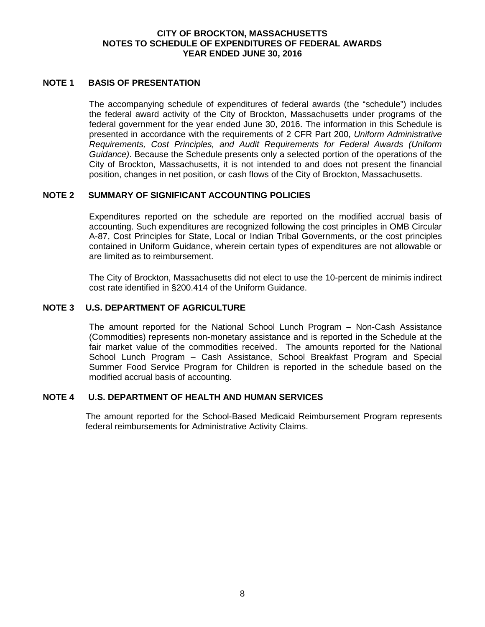## **CITY OF BROCKTON, MASSACHUSETTS NOTES TO SCHEDULE OF EXPENDITURES OF FEDERAL AWARDS YEAR ENDED JUNE 30, 2016**

## <span id="page-10-0"></span>**NOTE 1 BASIS OF PRESENTATION**

The accompanying schedule of expenditures of federal awards (the "schedule") includes the federal award activity of the City of Brockton, Massachusetts under programs of the federal government for the year ended June 30, 2016. The information in this Schedule is presented in accordance with the requirements of 2 CFR Part 200, *Uniform Administrative Requirements, Cost Principles, and Audit Requirements for Federal Awards (Uniform Guidance)*. Because the Schedule presents only a selected portion of the operations of the City of Brockton, Massachusetts, it is not intended to and does not present the financial position, changes in net position, or cash flows of the City of Brockton, Massachusetts.

## **NOTE 2 SUMMARY OF SIGNIFICANT ACCOUNTING POLICIES**

Expenditures reported on the schedule are reported on the modified accrual basis of accounting. Such expenditures are recognized following the cost principles in OMB Circular A-87, Cost Principles for State, Local or Indian Tribal Governments, or the cost principles contained in Uniform Guidance, wherein certain types of expenditures are not allowable or are limited as to reimbursement.

The City of Brockton, Massachusetts did not elect to use the 10-percent de minimis indirect cost rate identified in §200.414 of the Uniform Guidance.

#### **NOTE 3 U.S. DEPARTMENT OF AGRICULTURE**

The amount reported for the National School Lunch Program – Non-Cash Assistance (Commodities) represents non-monetary assistance and is reported in the Schedule at the fair market value of the commodities received. The amounts reported for the National School Lunch Program – Cash Assistance, School Breakfast Program and Special Summer Food Service Program for Children is reported in the schedule based on the modified accrual basis of accounting.

## **NOTE 4 U.S. DEPARTMENT OF HEALTH AND HUMAN SERVICES**

The amount reported for the School-Based Medicaid Reimbursement Program represents federal reimbursements for Administrative Activity Claims.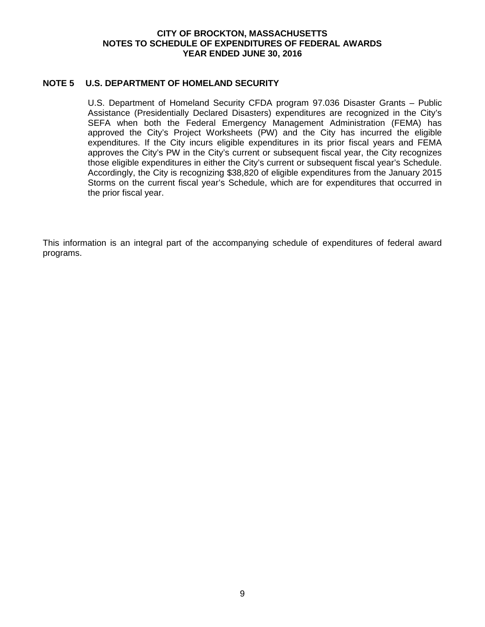## **CITY OF BROCKTON, MASSACHUSETTS NOTES TO SCHEDULE OF EXPENDITURES OF FEDERAL AWARDS YEAR ENDED JUNE 30, 2016**

## **NOTE 5 U.S. DEPARTMENT OF HOMELAND SECURITY**

U.S. Department of Homeland Security CFDA program 97.036 Disaster Grants – Public Assistance (Presidentially Declared Disasters) expenditures are recognized in the City's SEFA when both the Federal Emergency Management Administration (FEMA) has approved the City's Project Worksheets (PW) and the City has incurred the eligible expenditures. If the City incurs eligible expenditures in its prior fiscal years and FEMA approves the City's PW in the City's current or subsequent fiscal year, the City recognizes those eligible expenditures in either the City's current or subsequent fiscal year's Schedule. Accordingly, the City is recognizing \$38,820 of eligible expenditures from the January 2015 Storms on the current fiscal year's Schedule, which are for expenditures that occurred in the prior fiscal year.

This information is an integral part of the accompanying schedule of expenditures of federal award programs.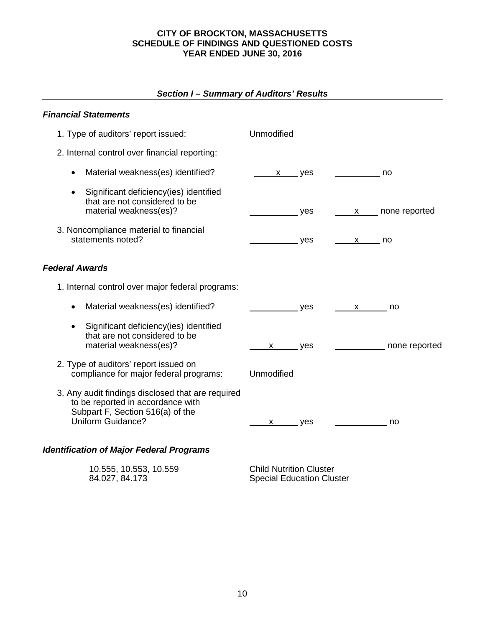<span id="page-12-0"></span>

| Section I – Summary of Auditors' Results                                                                                                               |                          |     |                                                                                                                                                                                                                                                                                                        |
|--------------------------------------------------------------------------------------------------------------------------------------------------------|--------------------------|-----|--------------------------------------------------------------------------------------------------------------------------------------------------------------------------------------------------------------------------------------------------------------------------------------------------------|
| <b>Financial Statements</b>                                                                                                                            |                          |     |                                                                                                                                                                                                                                                                                                        |
| 1. Type of auditors' report issued:                                                                                                                    | Unmodified               |     |                                                                                                                                                                                                                                                                                                        |
| 2. Internal control over financial reporting:                                                                                                          |                          |     |                                                                                                                                                                                                                                                                                                        |
| Material weakness(es) identified?<br>$\bullet$                                                                                                         | $x$ yes                  |     | no                                                                                                                                                                                                                                                                                                     |
| Significant deficiency(ies) identified<br>$\bullet$<br>that are not considered to be<br>material weakness(es)?                                         |                          | yes | x ____ none reported                                                                                                                                                                                                                                                                                   |
| 3. Noncompliance material to financial<br>statements noted?                                                                                            | $\rule{1em}{0.15mm}$ yes |     | $\mathsf{x}$ no                                                                                                                                                                                                                                                                                        |
| <b>Federal Awards</b>                                                                                                                                  |                          |     |                                                                                                                                                                                                                                                                                                        |
| 1. Internal control over major federal programs:                                                                                                       |                          |     |                                                                                                                                                                                                                                                                                                        |
| Material weakness(es) identified?<br>$\bullet$                                                                                                         |                          | yes | no<br>$\mathsf{X}$ and $\mathsf{X}$ and $\mathsf{X}$ and $\mathsf{X}$ are $\mathsf{X}$ and $\mathsf{X}$ and $\mathsf{X}$ are $\mathsf{X}$ and $\mathsf{X}$ are $\mathsf{X}$ and $\mathsf{X}$ and $\mathsf{X}$ are $\mathsf{X}$ and $\mathsf{X}$ are $\mathsf{X}$ and $\mathsf{X}$ are $\mathsf{X}$ and |
| Significant deficiency(ies) identified<br>$\bullet$<br>that are not considered to be<br>material weakness(es)?                                         | $x$ yes                  |     | none reported                                                                                                                                                                                                                                                                                          |
| 2. Type of auditors' report issued on<br>compliance for major federal programs:                                                                        | Unmodified               |     |                                                                                                                                                                                                                                                                                                        |
| 3. Any audit findings disclosed that are required<br>to be reported in accordance with<br>Subpart F, Section 516(a) of the<br><b>Uniform Guidance?</b> | x                        | yes | no                                                                                                                                                                                                                                                                                                     |
| <b>Identification of Major Federal Programs</b>                                                                                                        |                          |     |                                                                                                                                                                                                                                                                                                        |

## 10.555, 10.553, 10.559 Child Nutrition Cluster Special Education Cluster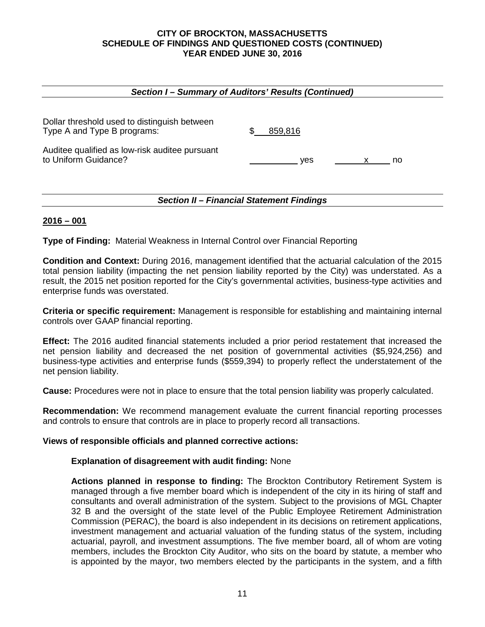| Section I - Summary of Auditors' Results (Continued)                        |     |         |  |    |  |
|-----------------------------------------------------------------------------|-----|---------|--|----|--|
| Dollar threshold used to distinguish between<br>Type A and Type B programs: | \$. | 859,816 |  |    |  |
| Auditee qualified as low-risk auditee pursuant<br>to Uniform Guidance?      |     | ves     |  | no |  |
| <b>Section II - Financial Statement Findings</b>                            |     |         |  |    |  |

## **2016 – 001**

**Type of Finding:** Material Weakness in Internal Control over Financial Reporting

**Condition and Context:** During 2016, management identified that the actuarial calculation of the 2015 total pension liability (impacting the net pension liability reported by the City) was understated. As a result, the 2015 net position reported for the City's governmental activities, business-type activities and enterprise funds was overstated.

**Criteria or specific requirement:** Management is responsible for establishing and maintaining internal controls over GAAP financial reporting.

**Effect:** The 2016 audited financial statements included a prior period restatement that increased the net pension liability and decreased the net position of governmental activities (\$5,924,256) and business-type activities and enterprise funds (\$559,394) to properly reflect the understatement of the net pension liability.

**Cause:** Procedures were not in place to ensure that the total pension liability was properly calculated.

**Recommendation:** We recommend management evaluate the current financial reporting processes and controls to ensure that controls are in place to properly record all transactions.

## **Views of responsible officials and planned corrective actions:**

## **Explanation of disagreement with audit finding:** None

**Actions planned in response to finding:** The Brockton Contributory Retirement System is managed through a five member board which is independent of the city in its hiring of staff and consultants and overall administration of the system. Subject to the provisions of MGL Chapter 32 B and the oversight of the state level of the Public Employee Retirement Administration Commission (PERAC), the board is also independent in its decisions on retirement applications, investment management and actuarial valuation of the funding status of the system, including actuarial, payroll, and investment assumptions. The five member board, all of whom are voting members, includes the Brockton City Auditor, who sits on the board by statute, a member who is appointed by the mayor, two members elected by the participants in the system, and a fifth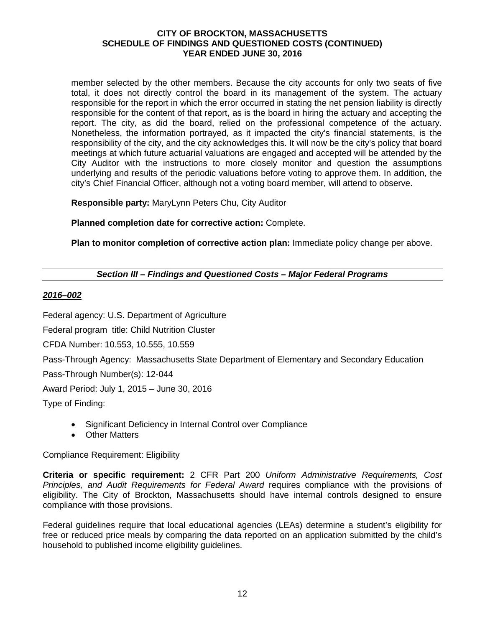member selected by the other members. Because the city accounts for only two seats of five total, it does not directly control the board in its management of the system. The actuary responsible for the report in which the error occurred in stating the net pension liability is directly responsible for the content of that report, as is the board in hiring the actuary and accepting the report. The city, as did the board, relied on the professional competence of the actuary. Nonetheless, the information portrayed, as it impacted the city's financial statements, is the responsibility of the city, and the city acknowledges this. It will now be the city's policy that board meetings at which future actuarial valuations are engaged and accepted will be attended by the City Auditor with the instructions to more closely monitor and question the assumptions underlying and results of the periodic valuations before voting to approve them. In addition, the city's Chief Financial Officer, although not a voting board member, will attend to observe.

**Responsible party:** MaryLynn Peters Chu, City Auditor

**Planned completion date for corrective action:** Complete.

**Plan to monitor completion of corrective action plan:** Immediate policy change per above.

## *Section III – Findings and Questioned Costs – Major Federal Programs*

## *2016–002*

Federal agency: U.S. Department of Agriculture

Federal program title: Child Nutrition Cluster

CFDA Number: 10.553, 10.555, 10.559

Pass-Through Agency: Massachusetts State Department of Elementary and Secondary Education

Pass-Through Number(s): 12-044

Award Period: July 1, 2015 – June 30, 2016

Type of Finding:

- Significant Deficiency in Internal Control over Compliance
- Other Matters

Compliance Requirement: Eligibility

**Criteria or specific requirement:** 2 CFR Part 200 *Uniform Administrative Requirements, Cost Principles, and Audit Requirements for Federal Award* requires compliance with the provisions of eligibility. The City of Brockton, Massachusetts should have internal controls designed to ensure compliance with those provisions.

Federal guidelines require that local educational agencies (LEAs) determine a student's eligibility for free or reduced price meals by comparing the data reported on an application submitted by the child's household to published income eligibility guidelines.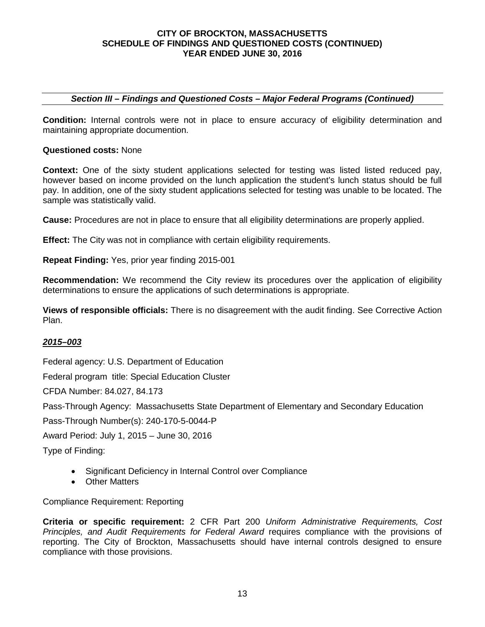## *Section III – Findings and Questioned Costs – Major Federal Programs (Continued)*

**Condition:** Internal controls were not in place to ensure accuracy of eligibility determination and maintaining appropriate documention.

### **Questioned costs:** None

**Context:** One of the sixty student applications selected for testing was listed listed reduced pay, however based on income provided on the lunch application the student's lunch status should be full pay. In addition, one of the sixty student applications selected for testing was unable to be located. The sample was statistically valid.

**Cause:** Procedures are not in place to ensure that all eligibility determinations are properly applied.

**Effect:** The City was not in compliance with certain eligibility requirements.

**Repeat Finding:** Yes, prior year finding 2015-001

**Recommendation:** We recommend the City review its procedures over the application of eligibility determinations to ensure the applications of such determinations is appropriate.

**Views of responsible officials:** There is no disagreement with the audit finding. See Corrective Action Plan.

## *2015–003*

Federal agency: U.S. Department of Education

Federal program title: Special Education Cluster

CFDA Number: 84.027, 84.173

Pass-Through Agency: Massachusetts State Department of Elementary and Secondary Education

Pass-Through Number(s): 240-170-5-0044-P

Award Period: July 1, 2015 – June 30, 2016

Type of Finding:

- Significant Deficiency in Internal Control over Compliance
- Other Matters

Compliance Requirement: Reporting

**Criteria or specific requirement:** 2 CFR Part 200 *Uniform Administrative Requirements, Cost Principles, and Audit Requirements for Federal Award* requires compliance with the provisions of reporting. The City of Brockton, Massachusetts should have internal controls designed to ensure compliance with those provisions.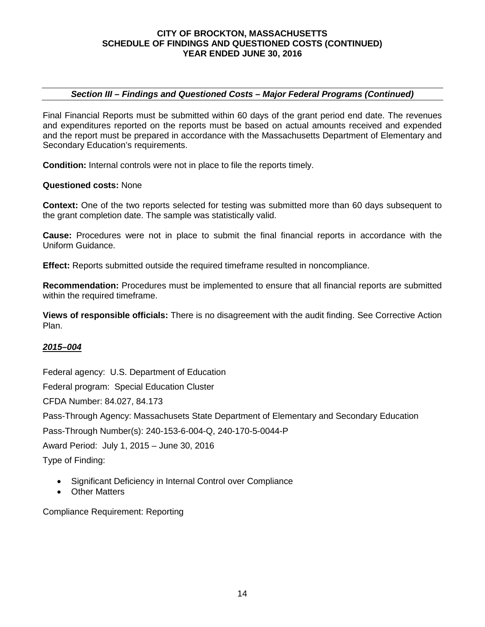## *Section III – Findings and Questioned Costs – Major Federal Programs (Continued)*

Final Financial Reports must be submitted within 60 days of the grant period end date. The revenues and expenditures reported on the reports must be based on actual amounts received and expended and the report must be prepared in accordance with the Massachusetts Department of Elementary and Secondary Education's requirements.

**Condition:** Internal controls were not in place to file the reports timely.

## **Questioned costs:** None

**Context:** One of the two reports selected for testing was submitted more than 60 days subsequent to the grant completion date. The sample was statistically valid.

**Cause:** Procedures were not in place to submit the final financial reports in accordance with the Uniform Guidance.

**Effect:** Reports submitted outside the required timeframe resulted in noncompliance.

**Recommendation:** Procedures must be implemented to ensure that all financial reports are submitted within the required timeframe.

**Views of responsible officials:** There is no disagreement with the audit finding. See Corrective Action Plan.

## *2015–004*

Federal agency: U.S. Department of Education

Federal program: Special Education Cluster

CFDA Number: 84.027, 84.173

Pass-Through Agency: Massachusets State Department of Elementary and Secondary Education

Pass-Through Number(s): 240-153-6-004-Q, 240-170-5-0044-P

Award Period: July 1, 2015 – June 30, 2016

Type of Finding:

- Significant Deficiency in Internal Control over Compliance
- Other Matters

Compliance Requirement: Reporting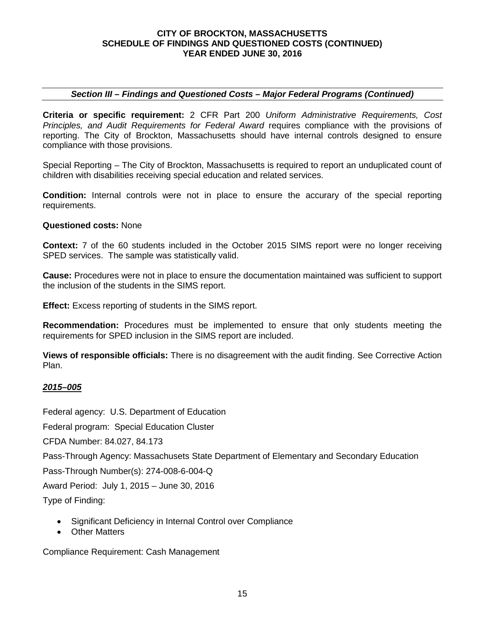## *Section III – Findings and Questioned Costs – Major Federal Programs (Continued)*

**Criteria or specific requirement:** 2 CFR Part 200 *Uniform Administrative Requirements, Cost Principles, and Audit Requirements for Federal Award* requires compliance with the provisions of reporting. The City of Brockton, Massachusetts should have internal controls designed to ensure compliance with those provisions.

Special Reporting – The City of Brockton, Massachusetts is required to report an unduplicated count of children with disabilities receiving special education and related services.

**Condition:** Internal controls were not in place to ensure the accurary of the special reporting requirements.

#### **Questioned costs:** None

**Context:** 7 of the 60 students included in the October 2015 SIMS report were no longer receiving SPED services. The sample was statistically valid.

**Cause:** Procedures were not in place to ensure the documentation maintained was sufficient to support the inclusion of the students in the SIMS report.

**Effect:** Excess reporting of students in the SIMS report.

**Recommendation:** Procedures must be implemented to ensure that only students meeting the requirements for SPED inclusion in the SIMS report are included.

**Views of responsible officials:** There is no disagreement with the audit finding. See Corrective Action Plan.

## *2015–005*

Federal agency: U.S. Department of Education

Federal program: Special Education Cluster

CFDA Number: 84.027, 84.173

Pass-Through Agency: Massachusets State Department of Elementary and Secondary Education

Pass-Through Number(s): 274-008-6-004-Q

Award Period: July 1, 2015 – June 30, 2016

Type of Finding:

- Significant Deficiency in Internal Control over Compliance
- Other Matters

Compliance Requirement: Cash Management